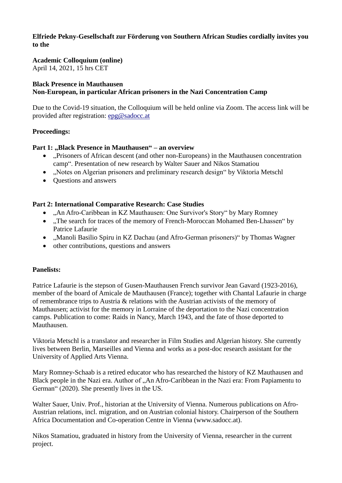#### **Elfriede Pekny-Gesellschaft zur Förderung von Southern African Studies cordially invites you to the**

# **Academic Colloquium (online)**

April 14, 2021, 15 hrs CET

#### **Black Presence in Mauthausen Non-European, in particular African prisoners in the Nazi Concentration Camp**

Due to the Covid-19 situation, the Colloquium will be held online via Zoom. The access link will be provided after registration: [epg@sadocc.at](mailto:epg@sadocc.at)

## **Proceedings:**

## Part 1: "Black Presence in Mauthausen" – an overview

- ...Prisoners of African descent (and other non-Europeans) in the Mauthausen concentration camp". Presentation of new research by Walter Sauer and Nikos Stamatiou
- "Notes on Algerian prisoners and preliminary research design" by Viktoria Metschl
- Ouestions and answers

## **Part 2: International Comparative Research: Case Studies**

- "An Afro-Caribbean in KZ Mauthausen: One Survivor's Story" by Mary Romney
- ..The search for traces of the memory of French-Moroccan Mohamed Ben-Lhassen" by Patrice Lafaurie
- "Manoli Basilio Spiru in KZ Dachau (and Afro-German prisoners)" by Thomas Wagner
- other contributions, questions and answers

#### **Panelists:**

Patrice Lafaurie is the stepson of Gusen-Mauthausen French survivor Jean Gavard (1923-2016), member of the board of Amicale de Mauthausen (France); together with Chantal Lafaurie in charge of remembrance trips to Austria & relations with the Austrian activists of the memory of Mauthausen; activist for the memory in Lorraine of the deportation to the Nazi concentration camps. Publication to come: Raids in Nancy, March 1943, and the fate of those deported to Mauthausen.

Viktoria Metschl is a translator and researcher in Film Studies and Algerian history. She currently lives between Berlin, Marseilles and Vienna and works as a post-doc research assistant for the University of Applied Arts Vienna.

Mary Romney-Schaab is a retired educator who has researched the history of KZ Mauthausen and Black people in the Nazi era. Author of "An Afro-Caribbean in the Nazi era: From Papiamentu to German" (2020). She presently lives in the US.

Walter Sauer, Univ. Prof., historian at the University of Vienna. Numerous publications on Afro-Austrian relations, incl. migration, and on Austrian colonial history. Chairperson of the Southern Africa Documentation and Co-operation Centre in Vienna (www.sadocc.at).

Nikos Stamatiou, graduated in history from the University of Vienna, researcher in the current project.